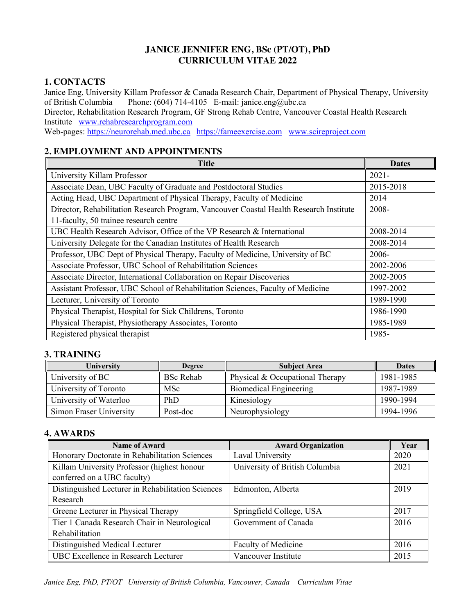### **JANICE JENNIFER ENG, BSc (PT/OT), PhD CURRICULUM VITAE 2022**

# **1. CONTACTS**

Janice Eng, University Killam Professor & Canada Research Chair, Department of Physical Therapy, University of British Columbia Phone: (604) 714-4105 E-mail: janice.eng@ubc.ca Director, Rehabilitation Research Program, GF Strong Rehab Centre, Vancouver Coastal Health Research Institute www.rehabresearchprogram.com Web-pages: https://neurorehab.med.ubc.ca https://fameexercise.com www.scireproject.com

# **2. EMPLOYMENT AND APPOINTMENTS**

| <b>Title</b>                                                                           | <b>Dates</b> |
|----------------------------------------------------------------------------------------|--------------|
| University Killam Professor                                                            | $2021 -$     |
| Associate Dean, UBC Faculty of Graduate and Postdoctoral Studies                       | 2015-2018    |
| Acting Head, UBC Department of Physical Therapy, Faculty of Medicine                   | 2014         |
| Director, Rehabilitation Research Program, Vancouver Coastal Health Research Institute | 2008-        |
| 11-faculty, 50 trainee research centre                                                 |              |
| UBC Health Research Advisor, Office of the VP Research & International                 | 2008-2014    |
| University Delegate for the Canadian Institutes of Health Research                     | 2008-2014    |
| Professor, UBC Dept of Physical Therapy, Faculty of Medicine, University of BC         | 2006-        |
| Associate Professor, UBC School of Rehabilitation Sciences                             | 2002-2006    |
| Associate Director, International Collaboration on Repair Discoveries                  | 2002-2005    |
| Assistant Professor, UBC School of Rehabilitation Sciences, Faculty of Medicine        | 1997-2002    |
| Lecturer, University of Toronto                                                        | 1989-1990    |
| Physical Therapist, Hospital for Sick Childrens, Toronto                               | 1986-1990    |
| Physical Therapist, Physiotherapy Associates, Toronto                                  | 1985-1989    |
| Registered physical therapist                                                          | 1985-        |

# **3. TRAINING**

| University              | <b>Degree</b>    | <b>Subject Area</b>             | <b>Dates</b> |
|-------------------------|------------------|---------------------------------|--------------|
| University of BC        | <b>BSc Rehab</b> | Physical & Occupational Therapy | 1981-1985    |
| University of Toronto   | <b>MSc</b>       | Biomedical Engineering          | 1987-1989    |
| University of Waterloo  | PhD              | Kinesiology                     | 1990-1994    |
| Simon Fraser University | Post-doc         | Neurophysiology                 | 1994-1996    |

# **4. AWARDS**

| <b>Name of Award</b>                              | <b>Award Organization</b>      | Year |
|---------------------------------------------------|--------------------------------|------|
| Honorary Doctorate in Rehabilitation Sciences     | Laval University               | 2020 |
| Killam University Professor (highest honour       | University of British Columbia | 2021 |
| conferred on a UBC faculty)                       |                                |      |
| Distinguished Lecturer in Rehabilitation Sciences | Edmonton, Alberta              | 2019 |
| Research                                          |                                |      |
| Greene Lecturer in Physical Therapy               | Springfield College, USA       | 2017 |
| Tier 1 Canada Research Chair in Neurological      | Government of Canada           | 2016 |
| Rehabilitation                                    |                                |      |
| Distinguished Medical Lecturer                    | Faculty of Medicine            | 2016 |
| UBC Excellence in Research Lecturer               | Vancouver Institute            | 2015 |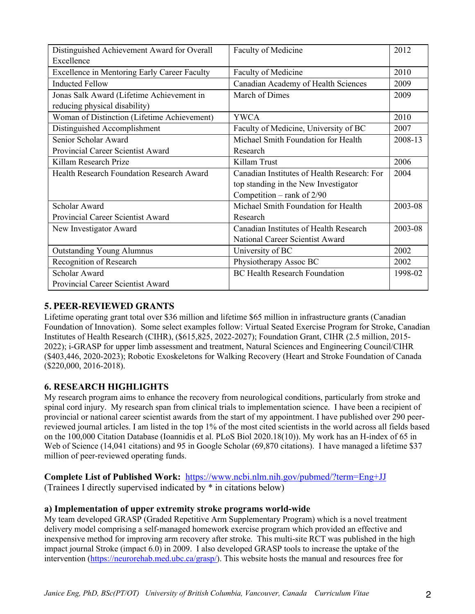| Distinguished Achievement Award for Overall  | Faculty of Medicine                         | 2012    |
|----------------------------------------------|---------------------------------------------|---------|
| Excellence                                   |                                             |         |
| Excellence in Mentoring Early Career Faculty | Faculty of Medicine                         | 2010    |
| <b>Inducted Fellow</b>                       | Canadian Academy of Health Sciences         | 2009    |
| Jonas Salk Award (Lifetime Achievement in    | March of Dimes                              | 2009    |
| reducing physical disability)                |                                             |         |
| Woman of Distinction (Lifetime Achievement)  | <b>YWCA</b>                                 | 2010    |
| Distinguished Accomplishment                 | Faculty of Medicine, University of BC       | 2007    |
| Senior Scholar Award                         | Michael Smith Foundation for Health         | 2008-13 |
| Provincial Career Scientist Award            | Research                                    |         |
| Killam Research Prize                        | Killam Trust                                | 2006    |
| Health Research Foundation Research Award    | Canadian Institutes of Health Research: For | 2004    |
|                                              | top standing in the New Investigator        |         |
|                                              | Competition – rank of $2/90$                |         |
| Scholar Award                                | Michael Smith Foundation for Health         | 2003-08 |
| Provincial Career Scientist Award            | Research                                    |         |
| New Investigator Award                       | Canadian Institutes of Health Research      | 2003-08 |
|                                              | National Career Scientist Award             |         |
| <b>Outstanding Young Alumnus</b>             | University of BC                            | 2002    |
| Recognition of Research                      | Physiotherapy Assoc BC                      | 2002    |
| Scholar Award                                | <b>BC Health Research Foundation</b>        | 1998-02 |
| Provincial Career Scientist Award            |                                             |         |

### **5. PEER-REVIEWED GRANTS**

Lifetime operating grant total over \$36 million and lifetime \$65 million in infrastructure grants (Canadian Foundation of Innovation). Some select examples follow: Virtual Seated Exercise Program for Stroke, Canadian Institutes of Health Research (CIHR), (\$615,825, 2022-2027); Foundation Grant, CIHR (2.5 million, 2015- 2022); i-GRASP for upper limb assessment and treatment, Natural Sciences and Engineering Council/CIHR (\$403,446, 2020-2023); Robotic Exoskeletons for Walking Recovery (Heart and Stroke Foundation of Canada (\$220,000, 2016-2018).

# **6. RESEARCH HIGHLIGHTS**

My research program aims to enhance the recovery from neurological conditions, particularly from stroke and spinal cord injury. My research span from clinical trials to implementation science. I have been a recipient of provincial or national career scientist awards from the start of my appointment. I have published over 290 peerreviewed journal articles. I am listed in the top 1% of the most cited scientists in the world across all fields based on the 100,000 Citation Database (Ioannidis et al. PLoS Biol 2020.18(10)). My work has an H-index of 65 in Web of Science (14,041 citations) and 95 in Google Scholar (69,870 citations). I have managed a lifetime \$37 million of peer-reviewed operating funds.

**Complete List of Published Work:** https://www.ncbi.nlm.nih.gov/pubmed/?term=Eng+JJ (Trainees I directly supervised indicated by \* in citations below)

### **a) Implementation of upper extremity stroke programs world-wide**

My team developed GRASP (Graded Repetitive Arm Supplementary Program) which is a novel treatment delivery model comprising a self-managed homework exercise program which provided an effective and inexpensive method for improving arm recovery after stroke. This multi-site RCT was published in the high impact journal Stroke (impact 6.0) in 2009. I also developed GRASP tools to increase the uptake of the intervention (https://neurorehab.med.ubc.ca/grasp/). This website hosts the manual and resources free for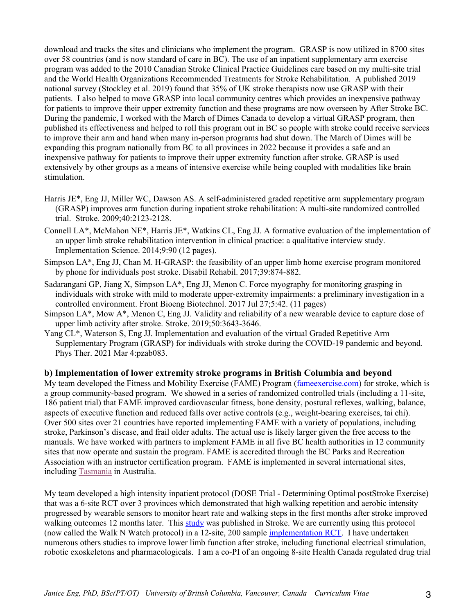download and tracks the sites and clinicians who implement the program. GRASP is now utilized in 8700 sites over 58 countries (and is now standard of care in BC). The use of an inpatient supplementary arm exercise program was added to the 2010 Canadian Stroke Clinical Practice Guidelines care based on my multi-site trial and the World Health Organizations Recommended Treatments for Stroke Rehabilitation. A published 2019 national survey (Stockley et al. 2019) found that 35% of UK stroke therapists now use GRASP with their patients. I also helped to move GRASP into local community centres which provides an inexpensive pathway for patients to improve their upper extremity function and these programs are now overseen by After Stroke BC. During the pandemic, I worked with the March of Dimes Canada to develop a virtual GRASP program, then published its effectiveness and helped to roll this program out in BC so people with stroke could receive services to improve their arm and hand when many in-person programs had shut down. The March of Dimes will be expanding this program nationally from BC to all provinces in 2022 because it provides a safe and an inexpensive pathway for patients to improve their upper extremity function after stroke. GRASP is used extensively by other groups as a means of intensive exercise while being coupled with modalities like brain stimulation.

- Harris JE\*, Eng JJ, Miller WC, Dawson AS. A self-administered graded repetitive arm supplementary program (GRASP) improves arm function during inpatient stroke rehabilitation: A multi-site randomized controlled trial. Stroke. 2009;40:2123-2128.
- Connell LA\*, McMahon NE\*, Harris JE\*, Watkins CL, Eng JJ. A formative evaluation of the implementation of an upper limb stroke rehabilitation intervention in clinical practice: a qualitative interview study. Implementation Science. 2014;9:90 (12 pages).
- Simpson LA\*, Eng JJ, Chan M. H-GRASP: the feasibility of an upper limb home exercise program monitored by phone for individuals post stroke. Disabil Rehabil. 2017;39:874-882.
- Sadarangani GP, Jiang X, Simpson LA\*, Eng JJ, Menon C. Force myography for monitoring grasping in individuals with stroke with mild to moderate upper-extremity impairments: a preliminary investigation in a controlled environment. Front Bioeng Biotechnol. 2017 Jul 27;5:42. (11 pages)
- Simpson LA\*, Mow A\*, Menon C, Eng JJ. Validity and reliability of a new wearable device to capture dose of upper limb activity after stroke. Stroke. 2019;50:3643-3646.
- Yang CL\*, Waterson S, Eng JJ. Implementation and evaluation of the virtual Graded Repetitive Arm Supplementary Program (GRASP) for individuals with stroke during the COVID-19 pandemic and beyond. Phys Ther. 2021 Mar 4:pzab083.

#### **b) Implementation of lower extremity stroke programs in British Columbia and beyond**

My team developed the Fitness and Mobility Exercise (FAME) Program (fame exercise.com) for stroke, which is a group community-based program. We showed in a series of randomized controlled trials (including a 11-site, 186 patient trial) that FAME improved cardiovascular fitness, bone density, postural reflexes, walking, balance, aspects of executive function and reduced falls over active controls (e.g., weight-bearing exercises, tai chi). Over 500 sites over 21 countries have reported implementing FAME with a variety of populations, including stroke, Parkinson's disease, and frail older adults. The actual use is likely larger given the free access to the manuals. We have worked with partners to implement FAME in all five BC health authorities in 12 community sites that now operate and sustain the program. FAME is accredited through the BC Parks and Recreation Association with an instructor certification program. FAME is implemented in several international sites, including Tasmania in Australia.

My team developed a high intensity inpatient protocol (DOSE Trial - Determining Optimal postStroke Exercise) that was a 6-site RCT over 3 provinces which demonstrated that high walking repetition and aerobic intensity progressed by wearable sensors to monitor heart rate and walking steps in the first months after stroke improved walking outcomes 12 months later. This study was published in Stroke. We are currently using this protocol (now called the Walk N Watch protocol) in a 12-site, 200 sample implementation RCT. I have undertaken numerous others studies to improve lower limb function after stroke, including functional electrical stimulation, robotic exoskeletons and pharmacologicals. I am a co-PI of an ongoing 8-site Health Canada regulated drug trial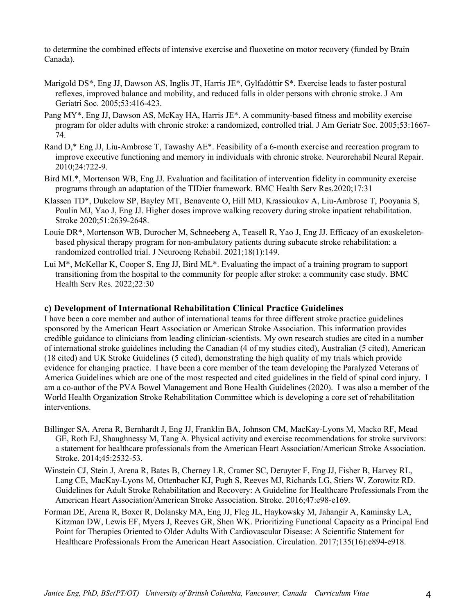to determine the combined effects of intensive exercise and fluoxetine on motor recovery (funded by Brain Canada).

- Marigold DS\*, Eng JJ, Dawson AS, Inglis JT, Harris JE\*, Gylfadóttir S\*. Exercise leads to faster postural reflexes, improved balance and mobility, and reduced falls in older persons with chronic stroke. J Am Geriatri Soc. 2005;53:416-423.
- Pang MY\*, Eng JJ, Dawson AS, McKay HA, Harris JE\*. A community-based fitness and mobility exercise program for older adults with chronic stroke: a randomized, controlled trial. J Am Geriatr Soc. 2005;53:1667- 74.
- Rand D,\* Eng JJ, Liu-Ambrose T, Tawashy AE\*. Feasibility of a 6-month exercise and recreation program to improve executive functioning and memory in individuals with chronic stroke. Neurorehabil Neural Repair. 2010;24:722-9.
- Bird ML\*, Mortenson WB, Eng JJ. Evaluation and facilitation of intervention fidelity in community exercise programs through an adaptation of the TIDier framework. BMC Health Serv Res.2020;17:31
- Klassen TD\*, Dukelow SP, Bayley MT, Benavente O, Hill MD, Krassioukov A, Liu-Ambrose T, Pooyania S, Poulin MJ, Yao J, Eng JJ. Higher doses improve walking recovery during stroke inpatient rehabilitation. Stroke 2020;51:2639-2648.
- Louie DR<sup>\*</sup>, Mortenson WB, Durocher M, Schneeberg A, Teasell R, Yao J, Eng JJ. Efficacy of an exoskeletonbased physical therapy program for non-ambulatory patients during subacute stroke rehabilitation: a randomized controlled trial. J Neuroeng Rehabil. 2021;18(1):149.
- Lui M\*, McKellar K, Cooper S, Eng JJ, Bird ML\*. Evaluating the impact of a training program to support transitioning from the hospital to the community for people after stroke: a community case study. BMC Health Serv Res. 2022;22:30

#### **c) Development of International Rehabilitation Clinical Practice Guidelines**

I have been a core member and author of international teams for three different stroke practice guidelines sponsored by the American Heart Association or American Stroke Association. This information provides credible guidance to clinicians from leading clinician-scientists. My own research studies are cited in a number of international stroke guidelines including the Canadian (4 of my studies cited), Australian (5 cited), American (18 cited) and UK Stroke Guidelines (5 cited), demonstrating the high quality of my trials which provide evidence for changing practice. I have been a core member of the team developing the Paralyzed Veterans of America Guidelines which are one of the most respected and cited guidelines in the field of spinal cord injury. I am a co-author of the PVA Bowel Management and Bone Health Guidelines (2020). I was also a member of the World Health Organization Stroke Rehabilitation Committee which is developing a core set of rehabilitation interventions.

- Billinger SA, Arena R, Bernhardt J, Eng JJ, Franklin BA, Johnson CM, MacKay-Lyons M, Macko RF, Mead GE, Roth EJ, Shaughnessy M, Tang A. Physical activity and exercise recommendations for stroke survivors: a statement for healthcare professionals from the American Heart Association/American Stroke Association. Stroke. 2014;45:2532-53.
- Winstein CJ, Stein J, Arena R, Bates B, Cherney LR, Cramer SC, Deruyter F, Eng JJ, Fisher B, Harvey RL, Lang CE, MacKay-Lyons M, Ottenbacher KJ, Pugh S, Reeves MJ, Richards LG, Stiers W, Zorowitz RD. Guidelines for Adult Stroke Rehabilitation and Recovery: A Guideline for Healthcare Professionals From the American Heart Association/American Stroke Association. Stroke. 2016;47:e98-e169.
- Forman DE, Arena R, Boxer R, Dolansky MA, Eng JJ, Fleg JL, Haykowsky M, Jahangir A, Kaminsky LA, Kitzman DW, Lewis EF, Myers J, Reeves GR, Shen WK. Prioritizing Functional Capacity as a Principal End Point for Therapies Oriented to Older Adults With Cardiovascular Disease: A Scientific Statement for Healthcare Professionals From the American Heart Association. Circulation. 2017;135(16):e894-e918.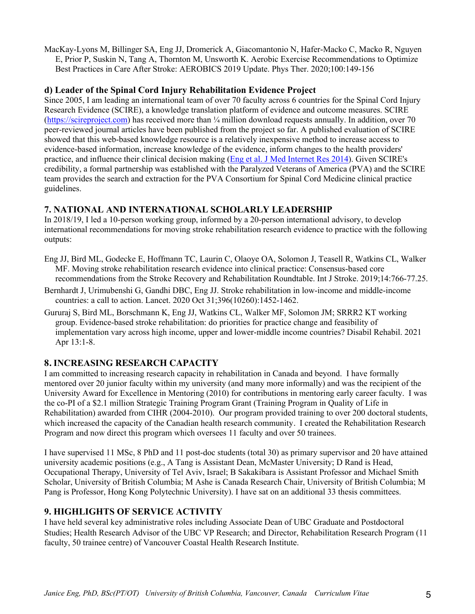MacKay-Lyons M, Billinger SA, Eng JJ, Dromerick A, Giacomantonio N, Hafer-Macko C, Macko R, Nguyen E, Prior P, Suskin N, Tang A, Thornton M, Unsworth K. Aerobic Exercise Recommendations to Optimize Best Practices in Care After Stroke: AEROBICS 2019 Update. Phys Ther. 2020;100:149-156

### **d) Leader of the Spinal Cord Injury Rehabilitation Evidence Project**

Since 2005, I am leading an international team of over 70 faculty across 6 countries for the Spinal Cord Injury Research Evidence (SCIRE), a knowledge translation platform of evidence and outcome measures. SCIRE (https://scireproject.com) has received more than 1/4 million download requests annually. In addition, over 70 peer-reviewed journal articles have been published from the project so far. A published evaluation of SCIRE showed that this web-based knowledge resource is a relatively inexpensive method to increase access to evidence-based information, increase knowledge of the evidence, inform changes to the health providers' practice, and influence their clinical decision making (Eng et al. J Med Internet Res 2014). Given SCIRE's credibility, a formal partnership was established with the Paralyzed Veterans of America (PVA) and the SCIRE team provides the search and extraction for the PVA Consortium for Spinal Cord Medicine clinical practice guidelines.

# **7. NATIONAL AND INTERNATIONAL SCHOLARLY LEADERSHIP**

In 2018/19, I led a 10-person working group, informed by a 20-person international advisory, to develop international recommendations for moving stroke rehabilitation research evidence to practice with the following outputs:

- Eng JJ, Bird ML, Godecke E, Hoffmann TC, Laurin C, Olaoye OA, Solomon J, Teasell R, Watkins CL, Walker MF. Moving stroke rehabilitation research evidence into clinical practice: Consensus-based core recommendations from the Stroke Recovery and Rehabilitation Roundtable. Int J Stroke. 2019;14:766-77.25.
- Bernhardt J, Urimubenshi G, Gandhi DBC, Eng JJ. Stroke rehabilitation in low-income and middle-income countries: a call to action. Lancet. 2020 Oct 31;396(10260):1452-1462.
- Gururaj S, Bird ML, Borschmann K, Eng JJ, Watkins CL, Walker MF, Solomon JM; SRRR2 KT working group. Evidence-based stroke rehabilitation: do priorities for practice change and feasibility of implementation vary across high income, upper and lower-middle income countries? Disabil Rehabil. 2021 Apr 13:1-8.

# **8. INCREASING RESEARCH CAPACITY**

I am committed to increasing research capacity in rehabilitation in Canada and beyond. I have formally mentored over 20 junior faculty within my university (and many more informally) and was the recipient of the University Award for Excellence in Mentoring (2010) for contributions in mentoring early career faculty. I was the co-PI of a \$2.1 million Strategic Training Program Grant (Training Program in Quality of Life in Rehabilitation) awarded from CIHR (2004-2010). Our program provided training to over 200 doctoral students, which increased the capacity of the Canadian health research community. I created the Rehabilitation Research Program and now direct this program which oversees 11 faculty and over 50 trainees.

I have supervised 11 MSc, 8 PhD and 11 post-doc students (total 30) as primary supervisor and 20 have attained university academic positions (e.g., A Tang is Assistant Dean, McMaster University; D Rand is Head, Occupational Therapy, University of Tel Aviv, Israel; B Sakakibara is Assistant Professor and Michael Smith Scholar, University of British Columbia; M Ashe is Canada Research Chair, University of British Columbia; M Pang is Professor, Hong Kong Polytechnic University). I have sat on an additional 33 thesis committees.

# **9. HIGHLIGHTS OF SERVICE ACTIVITY**

I have held several key administrative roles including Associate Dean of UBC Graduate and Postdoctoral Studies; Health Research Advisor of the UBC VP Research; and Director, Rehabilitation Research Program (11 faculty, 50 trainee centre) of Vancouver Coastal Health Research Institute.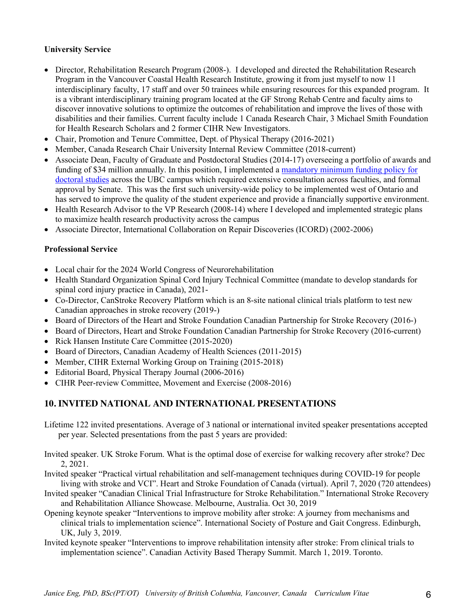### **University Service**

- Director, Rehabilitation Research Program (2008-). I developed and directed the Rehabilitation Research Program in the Vancouver Coastal Health Research Institute, growing it from just myself to now 11 interdisciplinary faculty, 17 staff and over 50 trainees while ensuring resources for this expanded program. It is a vibrant interdisciplinary training program located at the GF Strong Rehab Centre and faculty aims to discover innovative solutions to optimize the outcomes of rehabilitation and improve the lives of those with disabilities and their families. Current faculty include 1 Canada Research Chair, 3 Michael Smith Foundation for Health Research Scholars and 2 former CIHR New Investigators.
- Chair, Promotion and Tenure Committee, Dept. of Physical Therapy (2016-2021)
- Member, Canada Research Chair University Internal Review Committee (2018-current)
- Associate Dean, Faculty of Graduate and Postdoctoral Studies (2014-17) overseeing a portfolio of awards and funding of \$34 million annually. In this position, I implemented a mandatory minimum funding policy for doctoral studies across the UBC campus which required extensive consultation across faculties, and formal approval by Senate. This was the first such university-wide policy to be implemented west of Ontario and has served to improve the quality of the student experience and provide a financially supportive environment.
- Health Research Advisor to the VP Research (2008-14) where I developed and implemented strategic plans to maximize health research productivity across the campus
- Associate Director, International Collaboration on Repair Discoveries (ICORD) (2002-2006)

### **Professional Service**

- Local chair for the 2024 World Congress of Neurorehabilitation
- Health Standard Organization Spinal Cord Injury Technical Committee (mandate to develop standards for spinal cord injury practice in Canada), 2021-
- Co-Director, CanStroke Recovery Platform which is an 8-site national clinical trials platform to test new Canadian approaches in stroke recovery (2019-)
- Board of Directors of the Heart and Stroke Foundation Canadian Partnership for Stroke Recovery (2016-)
- Board of Directors, Heart and Stroke Foundation Canadian Partnership for Stroke Recovery (2016-current)
- Rick Hansen Institute Care Committee (2015-2020)
- Board of Directors, Canadian Academy of Health Sciences (2011-2015)
- Member, CIHR External Working Group on Training (2015-2018)
- Editorial Board, Physical Therapy Journal (2006-2016)
- CIHR Peer-review Committee, Movement and Exercise (2008-2016)

# **10. INVITED NATIONAL AND INTERNATIONAL PRESENTATIONS**

- Lifetime 122 invited presentations. Average of 3 national or international invited speaker presentations accepted per year. Selected presentations from the past 5 years are provided:
- Invited speaker. UK Stroke Forum. What is the optimal dose of exercise for walking recovery after stroke? Dec 2, 2021.
- Invited speaker "Practical virtual rehabilitation and self-management techniques during COVID-19 for people living with stroke and VCI". Heart and Stroke Foundation of Canada (virtual). April 7, 2020 (720 attendees)
- Invited speaker "Canadian Clinical Trial Infrastructure for Stroke Rehabilitation." International Stroke Recovery and Rehabilitation Alliance Showcase. Melbourne, Australia. Oct 30, 2019
- Opening keynote speaker "Interventions to improve mobility after stroke: A journey from mechanisms and clinical trials to implementation science". International Society of Posture and Gait Congress. Edinburgh, UK, July 3, 2019.
- Invited keynote speaker "Interventions to improve rehabilitation intensity after stroke: From clinical trials to implementation science". Canadian Activity Based Therapy Summit. March 1, 2019. Toronto.